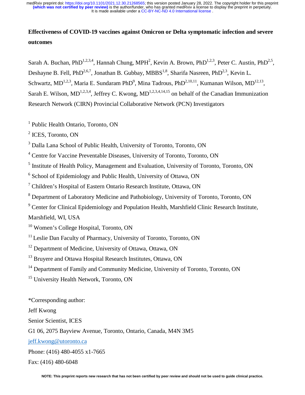# **Effectiveness of COVID-19 vaccines against Omicron or Delta symptomatic infection and severe outcomes**

Sarah A. Buchan, PhD<sup>1,2,3,4</sup>, Hannah Chung, MPH<sup>2</sup>, Kevin A. Brown, PhD<sup>1,2,3</sup>, Peter C. Austin, PhD<sup>2,5</sup>, Deshayne B. Fell, PhD<sup>2,6,7</sup>, Jonathan B. Gubbay, MBBS<sup>1,8</sup>, Sharifa Nasreen, PhD<sup>2,3</sup>, Kevin L. Schwartz, MD<sup>1,2,3</sup>, Maria E. Sundaram PhD<sup>9</sup>, Mina Tadrous, PhD<sup>2,10,11</sup>, Kumanan Wilson, MD<sup>12,13</sup>, Sarah E. Wilson,  $MD^{1,2,3,4}$ , Jeffrey C. Kwong,  $MD^{1,2,3,4,14,15}$  on behalf of the Canadian Immunization Research Network (CIRN) Provincial Collaborative Network (PCN) Investigators

<sup>1</sup> Public Health Ontario, Toronto, ON

2 ICES, Toronto, ON

<sup>3</sup> Dalla Lana School of Public Health, University of Toronto, Toronto, ON

4 Centre for Vaccine Preventable Diseases, University of Toronto, Toronto, ON

<sup>5</sup> Institute of Health Policy, Management and Evaluation, University of Toronto, Toronto, ON

<sup>6</sup> School of Epidemiology and Public Health, University of Ottawa, ON

<sup>7</sup> Children's Hospital of Eastern Ontario Research Institute, Ottawa, ON

<sup>8</sup> Department of Laboratory Medicine and Pathobiology, University of Toronto, Toronto, ON

<sup>9</sup> Center for Clinical Epidemiology and Population Health, Marshfield Clinic Research Institute,

Marshfield, WI, USA

<sup>10</sup> Women's College Hospital, Toronto, ON

<sup>11</sup> Leslie Dan Faculty of Pharmacy, University of Toronto, Toronto, ON

<sup>12</sup> Department of Medicine, University of Ottawa, Ottawa, ON

<sup>13</sup> Bruyere and Ottawa Hospital Research Institutes, Ottawa, ON

<sup>14</sup> Department of Family and Community Medicine, University of Toronto, Toronto, ON

<sup>15</sup> University Health Network, Toronto, ON

\*Corresponding author: Jeff Kwong Senior Scientist, ICES G1 06, 2075 Bayview Avenue, Toronto, Ontario, Canada, M4N 3M5 jeff.kwong@utoronto.ca Phone: (416) 480-4055 x1-7665 Fax: (416) 480-6048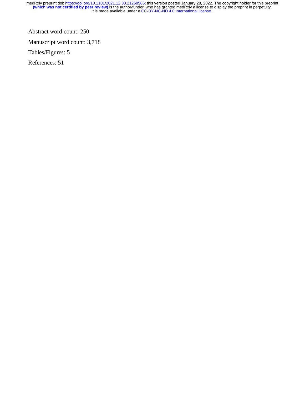Abstract word count: 250

Manuscript word count: 3,718

Tables/Figures: 5

References: 51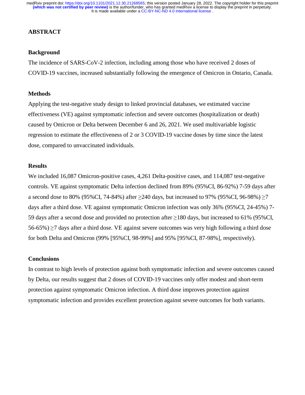## **ABSTRACT**

# **Background**

The incidence of SARS-CoV-2 infection, including among those who have received 2 doses of COVID-19 vaccines, increased substantially following the emergence of Omicron in Ontario, Canada.

## **Methods**

Applying the test-negative study design to linked provincial databases, we estimated vaccine effectiveness (VE) against symptomatic infection and severe outcomes (hospitalization or death) caused by Omicron or Delta between December 6 and 26, 2021. We used multivariable logistic regression to estimate the effectiveness of 2 or 3 COVID-19 vaccine doses by time since the latest dose, compared to unvaccinated individuals.

# **Results**

We included 16,087 Omicron-positive cases, 4,261 Delta-positive cases, and 114,087 test-negative controls. VE against symptomatic Delta infection declined from 89% (95%CI, 86-92%) 7-59 days after a second dose to 80% (95%CI, 74-84%) after  $\geq 240$  days, but increased to 97% (95%CI, 96-98%)  $\geq 7$ days after a third dose. VE against symptomatic Omicron infection was only 36% (95%CI, 24-45%) 7- 59 days after a second dose and provided no protection after ≥180 days, but increased to 61% (95%CI, 56-65%) ≥7 days after a third dose. VE against severe outcomes was very high following a third dose for both Delta and Omicron (99% [95%CI, 98-99%] and 95% [95%CI, 87-98%], respectively).

# **Conclusions**

In contrast to high levels of protection against both symptomatic infection and severe outcomes caused by Delta, our results suggest that 2 doses of COVID-19 vaccines only offer modest and short-term protection against symptomatic Omicron infection. A third dose improves protection against symptomatic infection and provides excellent protection against severe outcomes for both variants.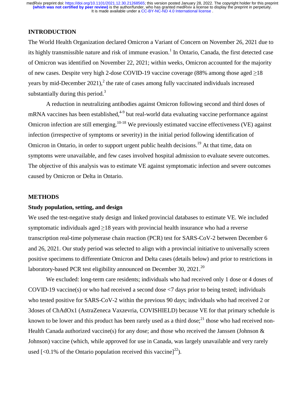## **INTRODUCTION**

The World Health Organization declared Omicron a Variant of Concern on November 26, 2021 due to its highly transmissible nature and risk of immune evasion.<sup>1</sup> In Ontario, Canada, the first detected case of Omicron was identified on November 22, 2021; within weeks, Omicron accounted for the majority of new cases. Despite very high 2-dose COVID-19 vaccine coverage (88% among those aged  $\geq$ 18 years by mid-December 2021),<sup>2</sup> the rate of cases among fully vaccinated individuals increased substantially during this period. $3$ 

A reduction in neutralizing antibodies against Omicron following second and third doses of mRNA vaccines has been established, $4-9$  but real-world data evaluating vaccine performance against Omicron infection are still emerging.<sup>10-18</sup> We previously estimated vaccine effectiveness (VE) against infection (irrespective of symptoms or severity) in the initial period following identification of Omicron in Ontario, in order to support urgent public health decisions.<sup>19</sup> At that time, data on symptoms were unavailable, and few cases involved hospital admission to evaluate severe outcomes. The objective of this analysis was to estimate VE against symptomatic infection and severe outcomes caused by Omicron or Delta in Ontario.

#### **METHODS**

### **Study population, setting, and design**

We used the test-negative study design and linked provincial databases to estimate VE. We included symptomatic individuals aged  $\geq$ 18 years with provincial health insurance who had a reverse transcription real-time polymerase chain reaction (PCR) test for SARS-CoV-2 between December 6 and 26, 2021. Our study period was selected to align with a provincial initiative to universally screen positive specimens to differentiate Omicron and Delta cases (details below) and prior to restrictions in laboratory-based PCR test eligibility announced on December 30,  $2021$ <sup>20</sup>

We excluded: long-term care residents; individuals who had received only 1 dose or 4 doses of COVID-19 vaccine(s) or who had received a second dose <7 days prior to being tested; individuals who tested positive for SARS-CoV-2 within the previous 90 days; individuals who had received 2 or 3doses of ChAdOx1 (AstraZeneca Vaxzevria, COVISHIELD) because VE for that primary schedule is known to be lower and this product has been rarely used as a third dose;<sup>21</sup> those who had received non-Health Canada authorized vaccine(s) for any dose; and those who received the Janssen (Johnson & Johnson) vaccine (which, while approved for use in Canada, was largely unavailable and very rarely used  $\left[$  <0.1% of the Ontario population received this vaccine]<sup>22</sup>).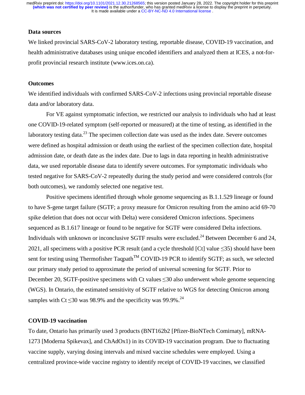## **Data sources**

We linked provincial SARS-CoV-2 laboratory testing, reportable disease, COVID-19 vaccination, and health administrative databases using unique encoded identifiers and analyzed them at ICES, a not-forprofit provincial research institute (www.ices.on.ca).

#### **Outcomes**

We identified individuals with confirmed SARS-CoV-2 infections using provincial reportable disease data and/or laboratory data.

 For VE against symptomatic infection, we restricted our analysis to individuals who had at least one COVID-19-related symptom (self-reported or measured) at the time of testing, as identified in the laboratory testing data. $^{23}$  The specimen collection date was used as the index date. Severe outcomes were defined as hospital admission or death using the earliest of the specimen collection date, hospital admission date, or death date as the index date. Due to lags in data reporting in health administrative data, we used reportable disease data to identify severe outcomes. For symptomatic individuals who tested negative for SARS-CoV-2 repeatedly during the study period and were considered controls (for both outcomes), we randomly selected one negative test.

Positive specimens identified through whole genome sequencing as B.1.1.529 lineage or found to have S-gene target failure (SGTF; a proxy measure for Omicron resulting from the amino acid 69-70 spike deletion that does not occur with Delta) were considered Omicron infections. Specimens sequenced as B.1.617 lineage or found to be negative for SGTF were considered Delta infections. Individuals with unknown or inconclusive SGTF results were excluded.<sup>24</sup> Between December 6 and 24, 2021, all specimens with a positive PCR result (and a cycle threshold [Ct] value ≤35) should have been sent for testing using Thermofisher Taqpath<sup>TM</sup> COVID-19 PCR to identify SGTF; as such, we selected our primary study period to approximate the period of universal screening for SGTF. Prior to December 20, SGTF-positive specimens with Ct values  $\leq$ 30 also underwent whole genome sequencing (WGS). In Ontario, the estimated sensitivity of SGTF relative to WGS for detecting Omicron among samples with Ct  $\leq$ 30 was 98.9% and the specificity was 99.9%.<sup>24</sup>

# **COVID-19 vaccination**

To date, Ontario has primarily used 3 products (BNT162b2 [Pfizer-BioNTech Comirnaty], mRNA-1273 [Moderna Spikevax], and ChAdOx1) in its COVID-19 vaccination program. Due to fluctuating vaccine supply, varying dosing intervals and mixed vaccine schedules were employed. Using a centralized province-wide vaccine registry to identify receipt of COVID-19 vaccines, we classified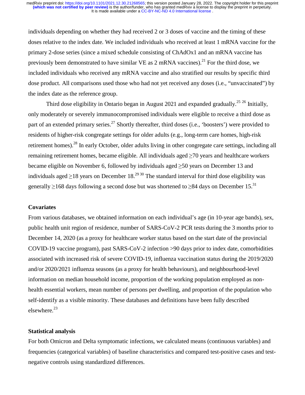individuals depending on whether they had received 2 or 3 doses of vaccine and the timing of these doses relative to the index date. We included individuals who received at least 1 mRNA vaccine for the primary 2-dose series (since a mixed schedule consisting of ChAdOx1 and an mRNA vaccine has previously been demonstrated to have similar  $VE$  as 2 mRNA vaccines).<sup>21</sup> For the third dose, we included individuals who received any mRNA vaccine and also stratified our results by specific third dose product. All comparisons used those who had not yet received any doses (i.e., "unvaccinated") by the index date as the reference group.

Third dose eligibility in Ontario began in August 2021 and expanded gradually.<sup>25 26</sup> Initially, only moderately or severely immunocompromised individuals were eligible to receive a third dose as part of an extended primary series.<sup>27</sup> Shortly thereafter, third doses (i.e., 'boosters') were provided to residents of higher-risk congregate settings for older adults (e.g., long-term care homes, high-risk retirement homes).28 In early October, older adults living in other congregate care settings, including all remaining retirement homes, became eligible. All individuals aged ≥70 years and healthcare workers became eligible on November 6, followed by individuals aged  $\geq$ 50 years on December 13 and individuals aged  $\geq$ 18 years on December 18.<sup>29 30</sup> The standard interval for third dose eligibility was generally  $\geq$ 168 days following a second dose but was shortened to  $\geq$ 84 days on December 15.<sup>31</sup>

#### **Covariates**

From various databases, we obtained information on each individual's age (in 10-year age bands), sex, public health unit region of residence, number of SARS-CoV-2 PCR tests during the 3 months prior to December 14, 2020 (as a proxy for healthcare worker status based on the start date of the provincial COVID-19 vaccine program), past SARS-CoV-2 infection >90 days prior to index date, comorbidities associated with increased risk of severe COVID-19, influenza vaccination status during the 2019/2020 and/or 2020/2021 influenza seasons (as a proxy for health behaviours), and neighbourhood-level information on median household income, proportion of the working population employed as nonhealth essential workers, mean number of persons per dwelling, and proportion of the population who self-identify as a visible minority. These databases and definitions have been fully described elsewhere.<sup>23</sup>

## **Statistical analysis**

For both Omicron and Delta symptomatic infections, we calculated means (continuous variables) and frequencies (categorical variables) of baseline characteristics and compared test-positive cases and testnegative controls using standardized differences.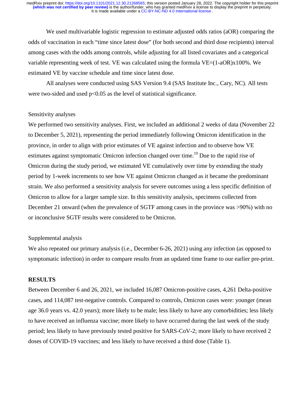We used multivariable logistic regression to estimate adjusted odds ratios (aOR) comparing the odds of vaccination in each "time since latest dose" (for both second and third dose recipients) interval among cases with the odds among controls, while adjusting for all listed covariates and a categorical variable representing week of test. VE was calculated using the formula VE=(1-aOR)x100%. We estimated VE by vaccine schedule and time since latest dose.

All analyses were conducted using SAS Version 9.4 (SAS Institute Inc., Cary, NC). All tests were two-sided and used  $p<0.05$  as the level of statistical significance.

#### Sensitivity analyses

We performed two sensitivity analyses. First, we included an additional 2 weeks of data (November 22 to December 5, 2021), representing the period immediately following Omicron identification in the province, in order to align with prior estimates of VE against infection and to observe how VE estimates against symptomatic Omicron infection changed over time.<sup>19</sup> Due to the rapid rise of Omicron during the study period, we estimated VE cumulatively over time by extending the study period by 1-week increments to see how VE against Omicron changed as it became the predominant strain. We also performed a sensitivity analysis for severe outcomes using a less specific definition of Omicron to allow for a larger sample size. In this sensitivity analysis, specimens collected from December 21 onward (when the prevalence of SGTF among cases in the province was >90%) with no or inconclusive SGTF results were considered to be Omicron.

### Supplemental analysis

We also repeated our primary analysis (i.e., December 6-26, 2021) using any infection (as opposed to symptomatic infection) in order to compare results from an updated time frame to our earlier pre-print.

# **RESULTS**

Between December 6 and 26, 2021, we included 16,087 Omicron-positive cases, 4,261 Delta-positive cases, and 114,087 test-negative controls. Compared to controls, Omicron cases were: younger (mean age 36.0 years vs. 42.0 years); more likely to be male; less likely to have any comorbidities; less likely to have received an influenza vaccine; more likely to have occurred during the last week of the study period; less likely to have previously tested positive for SARS-CoV-2; more likely to have received 2 doses of COVID-19 vaccines; and less likely to have received a third dose (Table 1).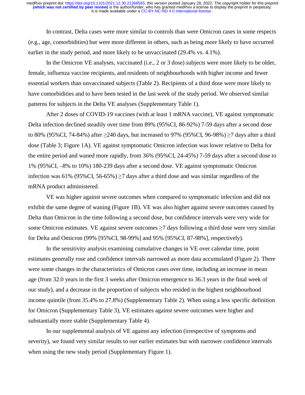In contrast, Delta cases were more similar to controls than were Omicron cases in some respects (e.g., age, comorbidities) but were more different in others, such as being more likely to have occurred earlier in the study period, and more likely to be unvaccinated (29.4% vs. 4.1%).

 In the Omicron VE analyses, vaccinated (i.e., 2 or 3 dose) subjects were more likely to be older, female, influenza vaccine recipients, and residents of neighbourhoods with higher income and fewer essential workers than unvaccinated subjects (Table 2). Recipients of a third dose were more likely to have comorbidities and to have been tested in the last week of the study period. We observed similar patterns for subjects in the Delta VE analyses (Supplementary Table 1).

After 2 doses of COVID-19 vaccines (with at least 1 mRNA vaccine), VE against symptomatic Delta infection declined steadily over time from 89% (95%CI, 86-92%) 7-59 days after a second dose to 80% (95%CI, 74-84%) after ≥240 days, but increased to 97% (95%CI, 96-98%) ≥7 days after a third dose (Table 3; Figure 1A). VE against symptomatic Omicron infection was lower relative to Delta for the entire period and waned more rapidly, from 36% (95%CI, 24-45%) 7-59 days after a second dose to 1% (95%CI, –8% to 10%) 180-239 days after a second dose. VE against symptomatic Omicron infection was 61% (95%CI, 56-65%)  $\geq$ 7 days after a third dose and was similar regardless of the mRNA product administered.

VE was higher against severe outcomes when compared to symptomatic infection and did not exhibit the same degree of waning (Figure 1B). VE was also higher against severe outcomes caused by Delta than Omicron in the time following a second dose, but confidence intervals were very wide for some Omicron estimates. VE against severe outcomes  $\geq$ 7 days following a third dose were very similar for Delta and Omicron (99% [95%CI, 98-99%] and 95% [95%CI, 87-98%], respectively).

In the sensitivity analysis examining cumulative changes in VE over calendar time, point estimates generally rose and confidence intervals narrowed as more data accumulated (Figure 2). There were some changes in the characteristics of Omicron cases over time, including an increase in mean age (from 32.0 years in the first 3 weeks after Omicron emergence to 36.3 years in the final week of our study), and a decrease in the proportion of subjects who resided in the highest neighbourhood income quintile (from 35.4% to 27.8%) (Supplementary Table 2). When using a less specific definition for Omicron (Supplementary Table 3), VE estimates against severe outcomes were higher and substantially more stable (Supplementary Table 4).

In our supplemental analysis of VE against any infection (irrespective of symptoms and severity), we found very similar results to our earlier estimates but with narrower confidence intervals when using the new study period (Supplementary Figure 1).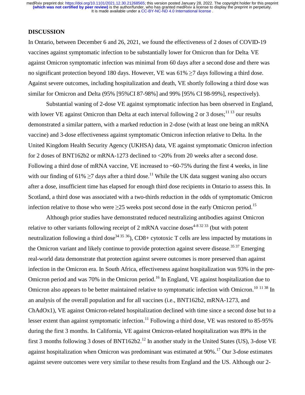## **DISCUSSION**

In Ontario, between December 6 and 26, 2021, we found the effectiveness of 2 doses of COVID-19 vaccines against symptomatic infection to be substantially lower for Omicron than for Delta; VE against Omicron symptomatic infection was minimal from 60 days after a second dose and there was no significant protection beyond 180 days. However, VE was  $61\% \ge 7$  days following a third dose. Against severe outcomes, including hospitalization and death, VE shortly following a third dose was similar for Omicron and Delta (95% [95%CI 87-98%] and 99% [95% CI 98-99%], respectively).

Substantial waning of 2-dose VE against symptomatic infection has been observed in England, with lower VE against Omicron than Delta at each interval following 2 or 3 doses;  $1113$  our results demonstrated a similar pattern, with a marked reduction in 2-dose (with at least one being an mRNA vaccine) and 3-dose effectiveness against symptomatic Omicron infection relative to Delta. In the United Kingdom Health Security Agency (UKHSA) data, VE against symptomatic Omicron infection for 2 doses of BNT162b2 or mRNA-1273 declined to <20% from 20 weeks after a second dose. Following a third dose of mRNA vaccine, VE increased to ~60-75% during the first 4 weeks, in line with our finding of 61%  $\geq$ 7 days after a third dose.<sup>11</sup> While the UK data suggest waning also occurs after a dose, insufficient time has elapsed for enough third dose recipients in Ontario to assess this. In Scotland, a third dose was associated with a two-thirds reduction in the odds of symptomatic Omicron infection relative to those who were  $\geq$ 25 weeks post second dose in the early Omicron period.<sup>15</sup>

Although prior studies have demonstrated reduced neutralizing antibodies against Omicron relative to other variants following receipt of 2 mRNA vaccine doses<sup>4-8 32 33</sup> (but with potent neutralization following a third dose<sup>34 35</sup> 36), CD8+ cytotoxic T cells are less impacted by mutations in the Omicron variant and likely continue to provide protection against severe disease.<sup>35 37</sup> Emerging real-world data demonstrate that protection against severe outcomes is more preserved than against infection in the Omicron era. In South Africa, effectiveness against hospitalization was 93% in the pre-Omicron period and was 70% in the Omicron period.<sup>16</sup> In England, VE against hospitalization due to Omicron also appears to be better maintained relative to symptomatic infection with Omicron.<sup>10 11 38</sup> In an analysis of the overall population and for all vaccines (i.e., BNT162b2, mRNA-1273, and ChAdOx1), VE against Omicron-related hospitalization declined with time since a second dose but to a lesser extent than against symptomatic infection.<sup>11</sup> Following a third dose, VE was restored to 85-95% during the first 3 months. In California, VE against Omicron-related hospitalization was 89% in the first 3 months following 3 doses of BNT162b2.<sup>12</sup> In another study in the United States (US), 3-dose VE against hospitalization when Omicron was predominant was estimated at  $90\%$ <sup>17</sup> Our 3-dose estimates against severe outcomes were very similar to these results from England and the US. Although our 2-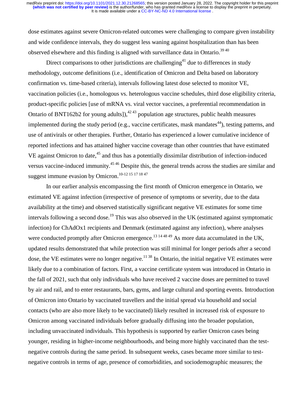dose estimates against severe Omicron-related outcomes were challenging to compare given instability and wide confidence intervals, they do suggest less waning against hospitalization than has been observed elsewhere and this finding is aligned with surveillance data in Ontario.<sup>3940</sup>

Direct comparisons to other jurisdictions are challenging<sup>41</sup> due to differences in study methodology, outcome definitions (i.e., identification of Omicron and Delta based on laboratory confirmation vs. time-based criteria), intervals following latest dose selected to monitor VE, vaccination policies (i.e., homologous vs. heterologous vaccine schedules, third dose eligibility criteria, product-specific policies [use of mRNA vs. viral vector vaccines, a preferential recommendation in Ontario of BNT162b2 for young adults]), $4243$  population age structures, public health measures implemented during the study period (e.g., vaccine certificates, mask mandates<sup>44</sup>), testing patterns, and use of antivirals or other therapies. Further, Ontario has experienced a lower cumulative incidence of reported infections and has attained higher vaccine coverage than other countries that have estimated VE against Omicron to date,<sup>45</sup> and thus has a potentially dissimilar distribution of infection-induced versus vaccine-induced immunity.45 46 Despite this, the general trends across the studies are similar and suggest immune evasion by Omicron.<sup>10-12 15 17 18 47</sup>

In our earlier analysis encompassing the first month of Omicron emergence in Ontario, we estimated VE against infection (irrespective of presence of symptoms or severity, due to the data availability at the time) and observed statistically significant negative VE estimates for some time intervals following a second dose.<sup>19</sup> This was also observed in the UK (estimated against symptomatic infection) for ChAdOx1 recipients and Denmark (estimated against any infection), where analyses were conducted promptly after Omicron emergence.<sup>13 14 48 49</sup> As more data accumulated in the UK, updated results demonstrated that while protection was still minimal for longer periods after a second dose, the VE estimates were no longer negative.<sup>11 38</sup> In Ontario, the initial negative VE estimates were likely due to a combination of factors. First, a vaccine certificate system was introduced in Ontario in the fall of 2021, such that only individuals who have received 2 vaccine doses are permitted to travel by air and rail, and to enter restaurants, bars, gyms, and large cultural and sporting events. Introduction of Omicron into Ontario by vaccinated travellers and the initial spread via household and social contacts (who are also more likely to be vaccinated) likely resulted in increased risk of exposure to Omicron among vaccinated individuals before gradually diffusing into the broader population, including unvaccinated individuals. This hypothesis is supported by earlier Omicron cases being younger, residing in higher-income neighbourhoods, and being more highly vaccinated than the testnegative controls during the same period. In subsequent weeks, cases became more similar to testnegative controls in terms of age, presence of comorbidities, and sociodemographic measures; the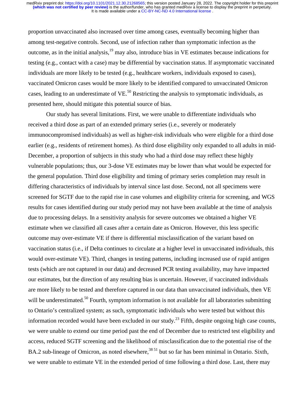proportion unvaccinated also increased over time among cases, eventually becoming higher than among test-negative controls. Second, use of infection rather than symptomatic infection as the outcome, as in the initial analysis,19 may also, introduce bias in VE estimates because indications for testing (e.g., contact with a case) may be differential by vaccination status. If asymptomatic vaccinated individuals are more likely to be tested (e.g., healthcare workers, individuals exposed to cases), vaccinated Omicron cases would be more likely to be identified compared to unvaccinated Omicron cases, leading to an underestimate of  $VE<sup>50</sup>$  Restricting the analysis to symptomatic individuals, as presented here, should mitigate this potential source of bias.

Our study has several limitations. First, we were unable to differentiate individuals who received a third dose as part of an extended primary series (i.e., severely or moderately immunocompromised individuals) as well as higher-risk individuals who were eligible for a third dose earlier (e.g., residents of retirement homes). As third dose eligibility only expanded to all adults in mid-December, a proportion of subjects in this study who had a third dose may reflect these highly vulnerable populations; thus, our 3-dose VE estimates may be lower than what would be expected for the general population. Third dose eligibility and timing of primary series completion may result in differing characteristics of individuals by interval since last dose. Second, not all specimens were screened for SGTF due to the rapid rise in case volumes and eligibility criteria for screening, and WGS results for cases identified during our study period may not have been available at the time of analysis due to processing delays. In a sensitivity analysis for severe outcomes we obtained a higher VE estimate when we classified all cases after a certain date as Omicron. However, this less specific outcome may over-estimate VE if there is differential misclassification of the variant based on vaccination status (i.e., if Delta continues to circulate at a higher level in unvaccinated individuals, this would over-estimate VE). Third, changes in testing patterns, including increased use of rapid antigen tests (which are not captured in our data) and decreased PCR testing availability, may have impacted our estimates, but the direction of any resulting bias is uncertain. However, if vaccinated individuals are more likely to be tested and therefore captured in our data than unvaccinated individuals, then VE will be underestimated.<sup>50</sup> Fourth, symptom information is not available for all laboratories submitting to Ontario's centralized system; as such, symptomatic individuals who were tested but without this information recorded would have been excluded in our study.<sup>23</sup> Fifth, despite ongoing high case counts, we were unable to extend our time period past the end of December due to restricted test eligibility and access, reduced SGTF screening and the likelihood of misclassification due to the potential rise of the BA.2 sub-lineage of Omicron, as noted elsewhere,<sup>38 51</sup> but so far has been minimal in Ontario. Sixth, we were unable to estimate VE in the extended period of time following a third dose. Last, there may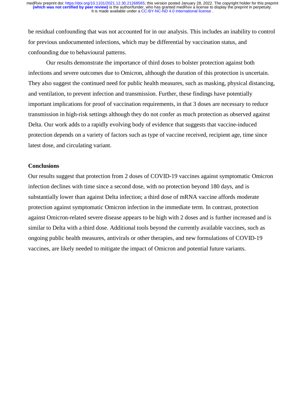be residual confounding that was not accounted for in our analysis. This includes an inability to control for previous undocumented infections, which may be differential by vaccination status, and confounding due to behavioural patterns.

Our results demonstrate the importance of third doses to bolster protection against both infections and severe outcomes due to Omicron, although the duration of this protection is uncertain. They also suggest the continued need for public health measures, such as masking, physical distancing, and ventilation, to prevent infection and transmission. Further, these findings have potentially important implications for proof of vaccination requirements, in that 3 doses are necessary to reduce transmission in high-risk settings although they do not confer as much protection as observed against Delta. Our work adds to a rapidly evolving body of evidence that suggests that vaccine-induced protection depends on a variety of factors such as type of vaccine received, recipient age, time since latest dose, and circulating variant.

#### **Conclusions**

Our results suggest that protection from 2 doses of COVID-19 vaccines against symptomatic Omicron infection declines with time since a second dose, with no protection beyond 180 days, and is substantially lower than against Delta infection; a third dose of mRNA vaccine affords moderate protection against symptomatic Omicron infection in the immediate term. In contrast, protection against Omicron-related severe disease appears to be high with 2 doses and is further increased and is similar to Delta with a third dose. Additional tools beyond the currently available vaccines, such as ongoing public health measures, antivirals or other therapies, and new formulations of COVID-19 vaccines, are likely needed to mitigate the impact of Omicron and potential future variants.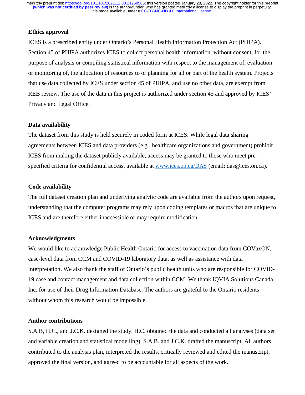## **Ethics approval**

ICES is a prescribed entity under Ontario's Personal Health Information Protection Act (PHIPA). Section 45 of PHIPA authorizes ICES to collect personal health information, without consent, for the purpose of analysis or compiling statistical information with respect to the management of, evaluation or monitoring of, the allocation of resources to or planning for all or part of the health system. Projects that use data collected by ICES under section 45 of PHIPA, and use no other data, are exempt from REB review. The use of the data in this project is authorized under section 45 and approved by ICES' Privacy and Legal Office.

## **Data availability**

The dataset from this study is held securely in coded form at ICES. While legal data sharing agreements between ICES and data providers (e.g., healthcare organizations and government) prohibit ICES from making the dataset publicly available, access may be granted to those who meet prespecified criteria for confidential access, available at www.ices.on.ca/DAS (email: das@ices.on.ca).

# **Code availability**

The full dataset creation plan and underlying analytic code are available from the authors upon request, understanding that the computer programs may rely upon coding templates or macros that are unique to ICES and are therefore either inaccessible or may require modification.

### **Acknowledgments**

We would like to acknowledge Public Health Ontario for access to vaccination data from COVaxON, case-level data from CCM and COVID-19 laboratory data, as well as assistance with data interpretation. We also thank the staff of Ontario's public health units who are responsible for COVID-19 case and contact management and data collection within CCM. We thank IQVIA Solutions Canada Inc. for use of their Drug Information Database. The authors are grateful to the Ontario residents without whom this research would be impossible.

## **Author contributions**

S.A.B, H.C., and J.C.K. designed the study. H.C. obtained the data and conducted all analyses (data set and variable creation and statistical modelling). S.A.B. and J.C.K. drafted the manuscript. All authors contributed to the analysis plan, interpreted the results, critically reviewed and edited the manuscript, approved the final version, and agreed to be accountable for all aspects of the work.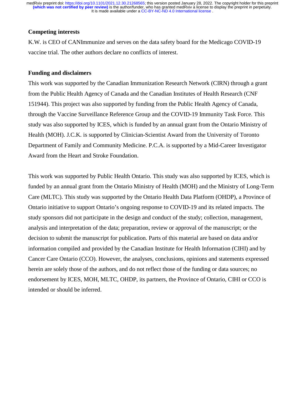### **Competing interests**

K.W. is CEO of CANImmunize and serves on the data safety board for the Medicago COVID-19 vaccine trial. The other authors declare no conflicts of interest.

### **Funding and disclaimers**

This work was supported by the Canadian Immunization Research Network (CIRN) through a grant from the Public Health Agency of Canada and the Canadian Institutes of Health Research (CNF 151944). This project was also supported by funding from the Public Health Agency of Canada, through the Vaccine Surveillance Reference Group and the COVID-19 Immunity Task Force. This study was also supported by ICES, which is funded by an annual grant from the Ontario Ministry of Health (MOH). J.C.K. is supported by Clinician-Scientist Award from the University of Toronto Department of Family and Community Medicine. P.C.A. is supported by a Mid-Career Investigator Award from the Heart and Stroke Foundation.

This work was supported by Public Health Ontario. This study was also supported by ICES, which is funded by an annual grant from the Ontario Ministry of Health (MOH) and the Ministry of Long-Term Care (MLTC). This study was supported by the Ontario Health Data Platform (OHDP), a Province of Ontario initiative to support Ontario's ongoing response to COVID-19 and its related impacts. The study sponsors did not participate in the design and conduct of the study; collection, management, analysis and interpretation of the data; preparation, review or approval of the manuscript; or the decision to submit the manuscript for publication. Parts of this material are based on data and/or information compiled and provided by the Canadian Institute for Health Information (CIHI) and by Cancer Care Ontario (CCO). However, the analyses, conclusions, opinions and statements expressed herein are solely those of the authors, and do not reflect those of the funding or data sources; no endorsement by ICES, MOH, MLTC, OHDP, its partners, the Province of Ontario, CIHI or CCO is intended or should be inferred.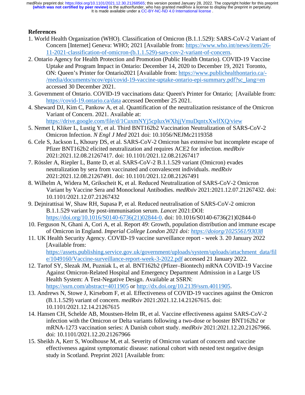# **References**

- 1. World Health Organization (WHO). Classification of Omicron (B.1.1.529): SARS-CoV-2 Variant of Concern [Internet] Geneva: WHO; 2021 [Available from: https://www.who.int/news/item/26- 11-2021-classification-of-omicron-(b.1.1.529)-sars-cov-2-variant-of-concern.
- 2. Ontario Agency for Health Protection and Promotion (Public Health Ontario). COVID-19 Vaccine Uptake and Program Impact in Ontario: December 14, 2020 to December 19, 2021 Toronto, ON: Queen's Printer for Ontario2021 [Available from: https://www.publichealthontario.ca/- /media/documents/ncov/epi/covid-19-vaccine-uptake-ontario-epi-summary.pdf?sc\_lang=en accessed 30 December 2021.
- 3. Government of Ontario. COVID-19 vaccinations data: Queen's Printer for Ontario; [Available from: https://covid-19.ontario.ca/data accessed December 25 2021.
- 4. Sheward DJ, Kim C, Pankow A, et al. Quantification of the neutralization resistance of the Omicron Variant of Concern. 2021. Available at:

https://drive.google.com/file/d/1CuxmNYj5cpIuxWXhjjVmuDqntxXwlfXQ/view

- 5. Nemet I, Kliker L, Lustig Y, et al. Third BNT162b2 Vaccination Neutralization of SARS-CoV-2 Omicron Infection. *N Engl J Med* 2021 doi: 10.1056/NEJMc2119358
- 6. Cele S, Jackson L, Khoury DS, et al. SARS-CoV-2 Omicron has extensive but incomplete escape of Pfizer BNT162b2 elicited neutralization and requires ACE2 for infection. *medRxiv* 2021:2021.12.08.21267417. doi: 10.1101/2021.12.08.21267417
- 7. Rössler A, Riepler L, Bante D, et al. SARS-CoV-2 B.1.1.529 variant (Omicron) evades neutralization by sera from vaccinated and convalescent individuals. *medRxiv* 2021:2021.12.08.21267491. doi: 10.1101/2021.12.08.21267491
- 8. Wilhelm A, Widera M, Grikscheit K, et al. Reduced Neutralization of SARS-CoV-2 Omicron Variant by Vaccine Sera and Monoclonal Antibodies. *medRxiv* 2021:2021.12.07.21267432. doi: 10.1101/2021.12.07.21267432
- 9. Dejnirattisai W, Shaw RH, Supasa P, et al. Reduced neutralisation of SARS-CoV-2 omicron B.1.1.529 variant by post-immunisation serum. *Lancet* 2021:DOI: https://doi.org/10.1016/S0140-6736(21)02844-0. doi: 10.1016/S0140-6736(21)02844-0
- 10. Ferguson N, Ghani A, Cori A, et al. Report 49: Growth, population distribution and immune escape of Omicron in England. *Imperial College London 2021 doi: https://doiorg/1025561/93038*
- 11. UK Health Security Agency. COVID-19 vaccine surveillance report week 3. 20 January 2022 [Available from: https://assets.publishing.service.gov.uk/government/uploads/system/uploads/attachment\_data/fil e/1049160/Vaccine-surveillance-report-week-3-2022.pdf accessed 21 January 2022.
- 12. Tartof SY, Slezak JM, Puzniak L, et al. BNT162b2 (Pfizer–Biontech) mRNA COVID-19 Vaccine Against Omicron-Related Hospital and Emergency Department Admission in a Large US Health System: A Test-Negative Design. Available at SSRN: https://ssrn.com/abstract=4011905 or http://dx.doi.org/10.2139/ssrn.4011905.
- 13. Andrews N, Stowe J, Kirsebom F, et al. Effectiveness of COVID-19 vaccines against the Omicron (B.1.1.529) variant of concern. *medRxiv* 2021:2021.12.14.21267615. doi: 10.1101/2021.12.14.21267615
- 14. Hansen CH, Schelde AB, Moustsen-Helm IR, et al. Vaccine effectiveness against SARS-CoV-2 infection with the Omicron or Delta variants following a two-dose or booster BNT162b2 or mRNA-1273 vaccination series: A Danish cohort study. *medRxiv* 2021:2021.12.20.21267966. doi: 10.1101/2021.12.20.21267966
- 15. Sheikh A, Kerr S, Woolhouse M, et al. Severity of Omicron variant of concern and vaccine effectiveness against symptomatic disease: national cohort with nested test negative design study in Scotland. Preprint 2021 [Available from: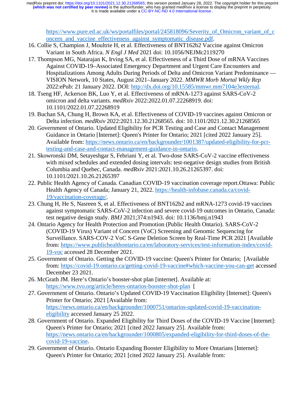https://www.pure.ed.ac.uk/ws/portalfiles/portal/245818096/Severity\_of\_Omicron\_variant\_of\_c oncern\_and\_vaccine\_effectiveness\_against\_symptomatic\_disease.pdf.

- 16. Collie S, Champion J, Moultrie H, et al. Effectiveness of BNT162b2 Vaccine against Omicron Variant in South Africa. *N Engl J Med* 2021 doi: 10.1056/NEJMc2119270
- 17. Thompson MG, Natarajan K, Irving SA, et al. Effectiveness of a Third Dose of mRNA Vaccines Against COVID-19–Associated Emergency Department and Urgent Care Encounters and Hospitalizations Among Adults During Periods of Delta and Omicron Variant Predominance — VISION Network, 10 States, August 2021–January 2022. *MMWR Morb Mortal Wkly Rep* 2022:ePub: 21 January 2022. DOI: http://dx.doi.org/10.15585/mmwr.mm7104e3external.
- 18. Tseng HF, Ackerson BK, Luo Y, et al. Effectiveness of mRNA-1273 against SARS-CoV-2 omicron and delta variants. *medRxiv* 2022:2022.01.07.22268919. doi: 10.1101/2022.01.07.22268919
- 19. Buchan SA, Chung H, Brown KA, et al. Effectiveness of COVID-19 vaccines against Omicron or Delta infection. *medRxiv* 2022:2021.12.30.21268565. doi: 10.1101/2021.12.30.21268565
- 20. Government of Ontario. Updated Eligibility for PCR Testing and Case and Contact Management Guidance in Ontario [Internet]: Queen's Printer for Ontario; 2021 [cited 2022 January 25]. Available from: https://news.ontario.ca/en/backgrounder/1001387/updated-eligibility-for-pcrtesting-and-case-and-contact-management-guidance-in-ontario.
- 21. Skowronski DM, Setayeshgar S, Febriani Y, et al. Two-dose SARS-CoV-2 vaccine effectiveness with mixed schedules and extended dosing intervals: test-negative design studies from British Columbia and Quebec, Canada. *medRxiv* 2021:2021.10.26.21265397. doi: 10.1101/2021.10.26.21265397
- 22. Public Health Agency of Canada. Canadian COVID-19 vaccination coverage report.Ottawa: Public Health Agency of Canada; January 21, 2022. https://health-infobase.canada.ca/covid-19/vaccination-coverage/.
- 23. Chung H, He S, Nasreen S, et al. Effectiveness of BNT162b2 and mRNA-1273 covid-19 vaccines against symptomatic SARS-CoV-2 infection and severe covid-19 outcomes in Ontario, Canada: test negative design study. *BMJ* 2021;374:n1943. doi: 10.1136/bmj.n1943
- 24. Ontario Agency for Health Protection and Promotion (Public Health Ontario). SARS-CoV-2 (COVID-19 Virus) Variant of Concern (VoC) Screening and Genomic Sequencing for Surveillance. SARS-COV-2 VoC S-Gene Deletion Screen by Real-Time PCR 2021 [Available from: https://www.publichealthontario.ca/en/laboratory-services/test-information-index/covid-19-voc accessed 28 December 2021.
- 25. Government of Ontario. Getting the COVID-19 vaccine: Queen's Printer for Ontario; [Available from: https://covid-19.ontario.ca/getting-covid-19-vaccine#which-vaccine-you-can-get accessed December 23 2021.
- 26. McGrath JM. Here's Ontario's booster-shot plan [internet]. Available at: https://www.tvo.org/article/heres-ontarios-booster-shot-plan [
- 27. Government of Ontario. Ontario's Updated COVID-19 Vaccination Eligibility [Internet]: Queen's Printer for Ontario; 2021 [Available from: https://news.ontario.ca/en/backgrounder/1000751/ontarios-updated-covid-19-vaccinationeligibility accessed January 25 2022.
- 28. Government of Ontario. Expanded Eligibility for Third Doses of the COVID-19 Vaccine [Internet]: Queen's Printer for Ontario; 2021 [cited 2022 January 25]. Available from: https://news.ontario.ca/en/backgrounder/1000805/expanded-eligibility-for-third-doses-of-thecovid-19-vaccine.
- 29. Government of Ontario. Ontario Expanding Booster Eligibility to More Ontarians [Internet]: Queen's Printer for Ontario; 2021 [cited 2022 January 25]. Available from: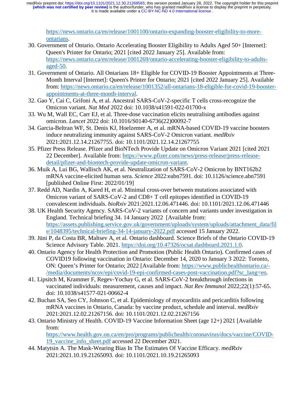https://news.ontario.ca/en/release/1001100/ontario-expanding-booster-eligibility-to-moreontarians.

- 30. Government of Ontario. Ontario Accelerating Booster Eligibility to Adults Aged 50+ [Internet]: Queen's Printer for Ontario; 2021 [cited 2022 January 25]. Available from: https://news.ontario.ca/en/release/1001269/ontario-accelerating-booster-eligibility-to-adultsaged-50.
- 31. Government of Ontario. All Ontarians 18+ Eligible for COVID-19 Booster Appointments at Three-Month Interval [Internet]: Queen's Printer for Ontario; 2021 [cited 2022 January 25]. Available from: https://news.ontario.ca/en/release/1001352/all-ontarians-18-eligible-for-covid-19-boosterappointments-at-three-month-interval.
- 32. Gao Y, Cai C, Grifoni A, et al. Ancestral SARS-CoV-2-specific T cells cross-recognize the Omicron variant. *Nat Med* 2022 doi: 10.1038/s41591-022-01700-x
- 33. Wu M, Wall EC, Carr EJ, et al. Three-dose vaccination elicits neutralising antibodies against omicron. *Lancet* 2022 doi: 10.1016/S0140-6736(22)00092-7
- 34. Garcia-Beltran WF, St. Denis KJ, Hoelzemer A, et al. mRNA-based COVID-19 vaccine boosters induce neutralizing immunity against SARS-CoV-2 Omicron variant. *medRxiv* 2021:2021.12.14.21267755. doi: 10.1101/2021.12.14.21267755
- 35. Pfizer Press Release. Pfizer and BioNTech Provide Update on Omicron Variant 2021 [cited 2021 22 December]. Available from: https://www.pfizer.com/news/press-release/press-releasedetail/pfizer-and-biontech-provide-update-omicron-variant.
- 36. Muik A, Lui BG, Wallisch AK, et al. Neutralization of SARS-CoV-2 Omicron by BNT162b2 mRNA vaccine-elicited human sera. *Science* 2022:eabn7591. doi: 10.1126/science.abn7591 [published Online First: 2022/01/19]
- 37. Redd AD, Nardin A, Kared H, et al. Minimal cross-over between mutations associated with Omicron variant of SARS-CoV-2 and CD8+ T cell epitopes identified in COVID-19 convalescent individuals. *bioRxiv* 2021:2021.12.06.471446. doi: 10.1101/2021.12.06.471446
- 38. UK Health Security Agency. SARS-CoV-2 variants of concern and variants under investigation in England. Technical briefing 34. 14 January 2022 [Available from: https://assets.publishing.service.gov.uk/government/uploads/system/uploads/attachment\_data/fil e/1048395/technical-briefing-34-14-january-2022.pdf accessed 15 January 2022.
- 39. Jüni P, da Costa BR, Maltsev A, et al. Ontario dashboard. Science Briefs of the Ontario COVID-19 Science Advisory Table. 2021. https://doi.org/10.47326/ocsat.dashboard.2021.1.0.
- 40. Ontario Agency for Health Protection and Promotion (Public Health Ontario). Confirmed cases of COVID19 following vaccination in Ontario: December 14, 2020 to January 3 2022: Toronto, ON: Queen's Printer for Ontario; 2022 [Available from: https://www.publichealthontario.ca/- /media/documents/ncov/epi/covid-19-epi-confirmed-cases-post-vaccination.pdf?sc\_lang=en.
- 41. Lipsitch M, Krammer F, Regev-Yochay G, et al. SARS-CoV-2 breakthrough infections in vaccinated individuals: measurement, causes and impact. *Nat Rev Immunol* 2022;22(1):57-65. doi: 10.1038/s41577-021-00662-4
- 42. Buchan SA, Seo CY, Johnson C, et al. Epidemiology of myocarditis and pericarditis following mRNA vaccines in Ontario, Canada: by vaccine product, schedule and interval. *medRxiv* 2021:2021.12.02.21267156. doi: 10.1101/2021.12.02.21267156
- 43. Ontario Ministry of Health. COVID-19 Vaccine Information Sheet (age 12+) 2021 [Available from:

https://www.health.gov.on.ca/en/pro/programs/publichealth/coronavirus/docs/vaccine/COVID-19\_vaccine\_info\_sheet.pdf accessed 22 December 2021.

44. Matytsin A. The Mask-Wearing Bias In The Estimates Of Vaccine Efficacy. *medRxiv* 2021:2021.10.19.21265093. doi: 10.1101/2021.10.19.21265093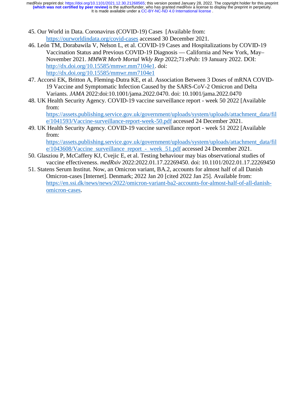It is made available under a [CC-BY-NC-ND 4.0 International license](http://creativecommons.org/licenses/by-nc-nd/4.0/) . **(which was not certified by peer review)** is the author/funder, who has granted medRxiv a license to display the preprint in perpetuity. medRxiv preprint doi: [https://doi.org/10.1101/2021.12.30.21268565;](https://doi.org/10.1101/2021.12.30.21268565) this version posted January 28, 2022. The copyright holder for this preprint

- 45. Our World in Data. Coronavirus (COVID-19) Cases [Available from: https://ourworldindata.org/covid-cases accessed 30 December 2021.
- 46. León TM, Dorabawila V, Nelson L, et al. COVID-19 Cases and Hospitalizations by COVID-19 Vaccination Status and Previous COVID-19 Diagnosis — California and New York, May– November 2021. *MMWR Morb Mortal Wkly Rep* 2022;71:ePub: 19 January 2022. DOI: http://dx.doi.org/10.15585/mmwr.mm7104e1. doi: http://dx.doi.org/10.15585/mmwr.mm7104e1
- 47. Accorsi EK, Britton A, Fleming-Dutra KE, et al. Association Between 3 Doses of mRNA COVID-19 Vaccine and Symptomatic Infection Caused by the SARS-CoV-2 Omicron and Delta Variants. *JAMA* 2022:doi:10.1001/jama.2022.0470. doi: 10.1001/jama.2022.0470
- 48. UK Health Security Agency. COVID-19 vaccine surveillance report week 50 2022 [Available from:

https://assets.publishing.service.gov.uk/government/uploads/system/uploads/attachment\_data/fil e/1041593/Vaccine-surveillance-report-week-50.pdf accessed 24 December 2021.

49. UK Health Security Agency. COVID-19 vaccine surveillance report - week 51 2022 [Available from:

https://assets.publishing.service.gov.uk/government/uploads/system/uploads/attachment\_data/fil e/1043608/Vaccine\_surveillance\_report\_-\_week\_51.pdf accessed 24 December 2021.

- 50. Glasziou P, McCaffery KJ, Cvejic E, et al. Testing behaviour may bias observational studies of vaccine effectiveness. *medRxiv* 2022:2022.01.17.22269450. doi: 10.1101/2022.01.17.22269450
- 51. Statens Serum Institut. Now, an Omicron variant, BA.2, accounts for almost half of all Danish Omicron-cases [Internet]. Denmark; 2022 Jan 20 [cited 2022 Jan 25]. Available from: https://en.ssi.dk/news/news/2022/omicron-variant-ba2-accounts-for-almost-half-of-all-danishomicron-cases.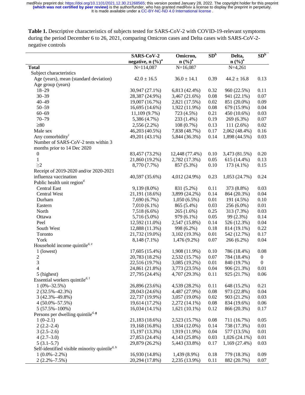Table 1. Descriptive characteristics of subjects tested for SARS-CoV-2 with COVID-19-relevant symptoms during the period December 6 to 26, 2021, comparing Omicron cases and Delta cases with SARS-CoV-2 negative controls

|                                                                           | SARS-CoV-2<br>negative, n $(\%)^a$ | Omicron,<br>$n\left(\frac{0}{0}\right)^a$ | SD <sup>b</sup> | Delta,<br>$n\left(\frac{9}{6}\right)^a$ | SD <sup>b</sup>  |
|---------------------------------------------------------------------------|------------------------------------|-------------------------------------------|-----------------|-----------------------------------------|------------------|
| <b>Total</b>                                                              | $N=114,087$                        | $N=16,087$                                |                 | $N=4,261$                               |                  |
| Subject characteristics                                                   |                                    |                                           |                 |                                         |                  |
| Age (years), mean (standard deviation)                                    | $42.0 \pm 16.5$                    | $36.0 \pm 14.1$                           | 0.39            | $44.2 \pm 16.8$                         | 0.13             |
| Age group (years)                                                         |                                    |                                           |                 |                                         |                  |
| $18 - 29$                                                                 | 30,947 (27.1%)                     | 6,813 (42.4%)                             | 0.32            | 960 (22.5%)                             | 0.11             |
| $30 - 39$                                                                 | 28,387 (24.9%)                     | 3,467 (21.6%)                             | 0.08            | 941 (22.1%)                             | 0.07             |
| $40 - 49$                                                                 | 19,007 (16.7%)                     | 2,821 (17.5%)                             | 0.02            | 851 (20.0%)                             | 0.09             |
| $50 - 59$                                                                 | 16,695 (14.6%)                     | 1,922 (11.9%)                             | 0.08            | 679 (15.9%)                             | 0.04             |
| $60 - 69$                                                                 | 11,109 (9.7%)                      | 723 (4.5%)                                | 0.21            | 450 (10.6%)                             | 0.03             |
| $70 - 79$                                                                 | 5,386 (4.7%)                       | 233 (1.4%)                                | 0.19            | 269 (6.3%)                              | 0.07             |
| $\geq 80$                                                                 | $2,556(2.2\%)$                     | $108(0.7\%)$                              | 0.13            | $111(2.6\%)$                            | 0.02             |
| Male sex                                                                  | 46,203 (40.5%)                     | 7,838 (48.7%)                             | 0.17            | 2,062 (48.4%)                           | 0.16             |
| Any comorbidity <sup>c</sup>                                              | 49,201 (43.1%)                     | 5,844 (36.3%)                             | 0.14            | 1,898 (44.5%)                           | 0.03             |
| Number of SARS-CoV-2 tests within 3                                       |                                    |                                           |                 |                                         |                  |
| months prior to 14 Dec 2020                                               |                                    |                                           |                 |                                         |                  |
| $\boldsymbol{0}$                                                          | 83,457 (73.2%)                     | 12,448 (77.4%)                            | 0.10            | 3,473 (81.5%)                           | 0.20             |
| $\mathbf{1}$                                                              | 21,860 (19.2%)                     | 2,782 (17.3%)                             | 0.05            | 615 (14.4%)                             | 0.13             |
| $\geq$ 2                                                                  | 8,770 (7.7%)                       | 857 (5.3%)                                | 0.10            | $173(4.1\%)$                            | 0.15             |
| Receipt of 2019-2020 and/or 2020-2021                                     |                                    |                                           |                 |                                         |                  |
| influenza vaccination                                                     | 40,597 (35.6%)                     | 4,012 (24.9%)                             | 0.23            | 1,053(24.7%)                            | 0.24             |
| Public health unit region <sup>d</sup>                                    |                                    |                                           |                 |                                         |                  |
| <b>Central East</b>                                                       | 9,139 (8.0%)                       |                                           | 0.11            |                                         | 0.03             |
|                                                                           |                                    | 831 (5.2%)                                |                 | 373 (8.8%)                              |                  |
| Central West                                                              | 21,191 (18.6%)                     | 3,899 (24.2%)                             | 0.14            | 864 (20.3%)                             | 0.04             |
| Durham                                                                    | 7,690 (6.7%)                       | $1,050(6.5\%)$                            | 0.01            | 191 (4.5%)                              | 0.10             |
| Eastern                                                                   | $7,010(6.1\%)$                     | 865 (5.4%)                                | 0.03            | 256 (6.0%)                              | 0.01             |
| North                                                                     | $7,518(6.6\%)$                     | $265(1.6\%)$                              | 0.25            | 313 (7.3%)                              | 0.03             |
| Ottawa                                                                    | 5,716 (5.0%)                       | 979 (6.1%)                                | 0.05            | 99 (2.3%)                               | 0.14             |
| Peel                                                                      | 12,592 (11.0%)                     | 2,547 (15.8%)                             | 0.14            | 526 (12.3%)                             | 0.04             |
| South West                                                                | 12,888 (11.3%)                     | 998 (6.2%)                                | 0.18            | 814 (19.1%)                             | 0.22             |
| Toronto                                                                   | 21,732 (19.0%)                     | 3,102 (19.3%)                             | 0.01            | 542 (12.7%)                             | 0.17             |
| York                                                                      | 8,148 (7.1%)                       | $1,476(9.2\%)$                            | 0.07            | 266 (6.2%)                              | 0.04             |
| Household income quintile <sup>d, e</sup>                                 |                                    |                                           |                 |                                         |                  |
| 1 (lowest)                                                                | 17,605 (15.4%)                     | 1,908 (11.9%)                             | 0.10            | 786 (18.4%)                             | 0.08             |
| $\boldsymbol{2}$                                                          | 20,783 (18.2%)                     | 2,532 (15.7%)                             | 0.07            | 784 (18.4%)                             | $\boldsymbol{0}$ |
| 3                                                                         | 22,516 (19.7%)                     | 3,085 (19.2%)                             | 0.01            | 840 (19.7%)                             | $\boldsymbol{0}$ |
| $\overline{\mathbf{4}}$                                                   | 24,861 (21.8%)                     | 3,773 (23.5%)                             | 0.04            | 906 (21.3%)                             | 0.01             |
| 5 (highest)                                                               | 27,795 (24.4%)                     | 4,707 (29.3%)                             | 0.11            | 925 (21.7%)                             | 0.06             |
| Essential workers quintiled, f                                            |                                    |                                           |                 |                                         |                  |
| $1(0\% - 32.5\%)$                                                         | 26,896 (23.6%)                     | 4,539 (28.2%)                             | 0.11            | 648 (15.2%)                             | 0.21             |
| $2(32.5\% - 42.3\%)$                                                      | 28,043 (24.6%)                     | 4,487 (27.9%)                             | 0.08            | 973 (22.8%)                             | 0.04             |
| $3(42.3\% - 49.8\%)$                                                      | 22,737 (19.9%)                     | 3,057 (19.0%)                             | 0.02            | 903 (21.2%)                             | 0.03             |
| $4(50.0\% - 57.5\%)$                                                      | 19,614 (17.2%)                     | 2,272 (14.1%)                             | 0.08            | 834 (19.6%)                             | 0.06             |
| $5(57.5\% - 100\%)$                                                       | 16,034 (14.1%)                     | $1,621(10.1\%)$                           | 0.12            | 866 (20.3%)                             | 0.17             |
| Persons per dwelling quintile <sup>d, g</sup>                             |                                    |                                           |                 |                                         |                  |
| $1(0-2.1)$                                                                | 21,183 (18.6%)                     | 2,523 (15.7%)                             | 0.08            | 711 (16.7%)                             | 0.05             |
| $2(2.2-2.4)$                                                              | 19,168 (16.8%)                     | 1,934 (12.0%)                             | 0.14            | 738 (17.3%)                             | 0.01             |
| $3(2.5-2.6)$                                                              | 15,197 (13.3%)                     | 1,919 (11.9%)                             | 0.04            | 577 (13.5%)                             | 0.01             |
| $4(2.7-3.0)$                                                              | 27,853 (24.4%)                     | 4,143 (25.8%)                             | 0.03            | $1,026(24.1\%)$                         | 0.01             |
|                                                                           |                                    |                                           |                 |                                         |                  |
| $5(3.1-5.7)$<br>Self-identified visible minority quintile <sup>d, h</sup> | 29,879 (26.2%)                     | 5,443 (33.8%)                             | 0.17            | 1,169(27.4%)                            | 0.03             |
|                                                                           |                                    |                                           |                 |                                         |                  |
| $1(0.0\% - 2.2\%)$                                                        | 16,930 (14.8%)                     | 1,439 (8.9%)                              | 0.18            | 779 (18.3%)                             | 0.09             |
| $2(2.2\% - 7.5\%)$                                                        | 20,294 (17.8%)                     | 2,235 (13.9%)                             | 0.11            | 882 (20.7%)                             | 0.07             |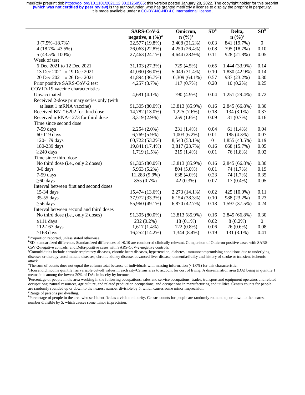|                                                            | SARS-CoV-2           | Omicron,           | SD <sup>b</sup>  | Delta,                        | SD <sup>b</sup>  |
|------------------------------------------------------------|----------------------|--------------------|------------------|-------------------------------|------------------|
|                                                            | negative, n $(\%)^a$ | n (%) <sup>a</sup> |                  | $n\left(\frac{0}{0}\right)^a$ |                  |
| $\overline{3(7.5\% - 18.7\%)}$                             | 22,577 (19.8%)       | 3,408 (21.2%)      | 0.03             | 841 (19.7%)                   | $\boldsymbol{0}$ |
| $4(18.7\% - 43.5\%)$                                       | 26,063 (22.8%)       | 4,250 (26.4%)      | 0.08             | 795 (18.7%)                   | 0.10             |
| $5(43.5\% - 100\%)$                                        | 27,463 (24.1%)       | 4,644 (28.9%)      | 0.11             | 928 (21.8%)                   | 0.05             |
| Week of test                                               |                      |                    |                  |                               |                  |
| 6 Dec 2021 to 12 Dec 2021                                  | 31,103 (27.3%)       | 729 (4.5%)         | 0.65             | 1,444 (33.9%)                 | 0.14             |
| 13 Dec 2021 to 19 Dec 2021                                 | 41,090 (36.0%)       | 5,049 (31.4%)      | 0.10             | 1,830 (42.9%)                 | 0.14             |
| 20 Dec 2021 to 26 Dec 2021                                 | 41,894 (36.7%)       | 10,309 (64.1%)     | 0.57             | 987 (23.2%)                   | 0.30             |
| Prior positive SARS-CoV-2 test                             | 4,257 (3.7%)         | $117(0.7\%)$       | 0.20             | $10(0.2\%)$                   | 0.25             |
| COVID-19 vaccine characteristics                           |                      |                    |                  |                               |                  |
| Unvaccinated                                               | $4,681(4.1\%)$       | 790 (4.9%)         | 0.04             | $1,251(29.4\%)$               | 0.72             |
| Received 2-dose primary series only (with                  |                      |                    |                  |                               |                  |
| at least 1 mRNA vaccine)                                   | 91,305 (80.0%)       | 13,813 (85.9%)     | 0.16             | 2,845 (66.8%)                 | 0.30             |
| Received BNT162b2 for third dose                           | 14,782 (13.0%)       | $1,225(7.6\%)$     | 0.18             | $134(3.1\%)$                  | 0.37             |
| Received mRNA-1273 for third dose                          | 3,319 (2.9%)         | 259 (1.6%)         | 0.09             | 31 (0.7%)                     | 0.16             |
| Time since second dose                                     |                      |                    |                  |                               |                  |
| 7-59 days                                                  | $2,254(2.0\%)$       | 231 (1.4%)         | 0.04             | 61 $(1.4\%)$                  | 0.04             |
| 60-119 days                                                | $6,769(5.9\%)$       | $1,003(6.2\%)$     | 0.01             | 185 (4.3%)                    | 0.07             |
| 120-179 days                                               | 60,722 (53.2%)       | 8,543 (53.1%)      | $\boldsymbol{0}$ | 1,855 (43.5%)                 | 0.19             |
| 180-239 days                                               | 19,841 (17.4%)       | 3,817 (23.7%)      | 0.16             | 668 (15.7%)                   | 0.05             |
| $\geq$ 240 days                                            | $1,719(1.5\%)$       | 219 (1.4%)         | 0.01             | 76 (1.8%)                     | 0.02             |
| Time since third dose                                      |                      |                    |                  |                               |                  |
| No third dose (i.e., only 2 doses)                         | 91,305 (80.0%)       | 13,813 (85.9%)     | 0.16             | 2,845 (66.8%)                 | 0.30             |
| $0-6$ days                                                 | 5,963 (5.2%)         | 804 (5.0%)         | 0.01             | 74 (1.7%)                     | 0.19             |
| $7-59$ days                                                | 11,283 (9.9%)        | 638 (4.0%)         | 0.23             | 74 (1.7%)                     | 0.35             |
| $\geq$ 60 days                                             | 855 (0.7%)           | $42(0.3\%)$        | 0.07             | $17(0.4\%)$                   | 0.05             |
| Interval between first and second doses                    |                      |                    |                  |                               |                  |
| 15-34 days                                                 | 15,474 (13.6%)       | 2,273 (14.1%)      | 0.02             | 425 (10.0%)                   | 0.11             |
| 35-55 days                                                 | 37,972 (33.3%)       | 6,154(38.3%)       | 0.10             | 988 (23.2%)                   | 0.23             |
| $\geq$ 56 days                                             | 55,960 (49.1%)       | 6,870 (42.7%)      | 0.13             | 1,597 (37.5%)                 | 0.24             |
| Interval between second and third doses                    |                      |                    |                  |                               |                  |
| No third dose (i.e., only 2 doses)                         | 91,305 (80.0%)       | 13,813 (85.9%)     | 0.16             | 2,845 (66.8%)                 | 0.30             |
| $\leq$ 111 days                                            | 232 (0.2%)           | $18(0.1\%)$        | 0.02             | $8(0.2\%)$                    | $\boldsymbol{0}$ |
| 112-167 days                                               | $1,617(1.4\%)$       | $122(0.8\%)$       | 0.06             | $26(0.6\%)$                   | 0.08             |
| $\geq$ 168 days                                            | 16,252 (14.2%)       | 1,344 (8.4%)       | 0.19             | 131 (3.1%)                    | 0.41             |
| <sup>a</sup> Proportion reported, unless stated otherwise. |                      |                    |                  |                               |                  |

**b** SD=standardized difference. Standardized differences of >0.10 are considered clinically relevant. Comparison of Omicron-positive cases with SARS-CoV-2-negative controls, and Delta-positive cases with SARS-CoV-2-negative controls.

c Comorbidities include chronic respiratory diseases, chronic heart diseases, hypertension, diabetes, immunocompromising conditions due to underlying diseases or therapy, autoimmune diseases, chronic kidney disease, advanced liver disease, dementia/frailty and history of stroke or transient ischemic attack.

The sum of counts does not equal the column total because of individuals with missing information  $\langle 1.0\% \rangle$  for this characteristic.

<sup>e</sup>Household income quintile has variable cut-off values in each city/Census area to account for cost of living. A dissemination area (DA) being in quintile 1 means it is among the lowest 20% of DAs in its city by income.

f Percentage of people in the area working in the following occupations: sales and service occupations; trades, transport and equipment operators and related occupations; natural resources, agriculture, and related production occupations; and occupations in manufacturing and utilities. Census counts for people are randomly rounded up or down to the nearest number divisible by 5, which causes some minor imprecision.

**g** Range of persons per dwelling.

<sup>h</sup>Percentage of people in the area who self-identified as a visible minority. Census counts for people are randomly rounded up or down to the nearest number divisible by 5, which causes some minor imprecision.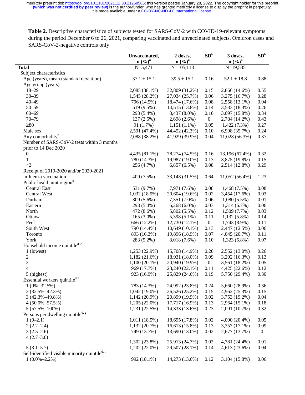**Table 2.** Descriptive characteristics of subjects tested for SARS-CoV-2 with COVID-19-relevant symptoms during the period December 6 to 26, 2021, comparing vaccinated and unvaccinated subjects, Omicron cases and SARS-CoV-2-negative controls only

|                                                           | Unvaccinated,<br>$n\left(\frac{9}{6}\right)^a$ | 2 doses,<br>n (%) <sup>a</sup> | SD <sup>b</sup>  | 3 doses,<br>$n (%)^a$ | SD <sub>p</sub> |
|-----------------------------------------------------------|------------------------------------------------|--------------------------------|------------------|-----------------------|-----------------|
| <b>Total</b>                                              | $N = 5,471$                                    | $N=105,118$                    |                  | $N=19,585$            |                 |
| Subject characteristics                                   |                                                |                                |                  |                       |                 |
| Age (years), mean (standard deviation)                    | $37.1 \pm 15.1$                                | $39.5 \pm 15.1$                | 0.16             | $52.1 \pm 18.8$       | 0.88            |
| Age group (years)                                         |                                                |                                |                  |                       |                 |
| $18 - 29$                                                 | 2,085 (38.1%)                                  | 32,809 (31.2%)                 | 0.15             | 2,866 (14.6%)         | 0.55            |
| $30 - 39$                                                 | 1,545 (28.2%)                                  | 27,034 (25.7%)                 | 0.06             | 3,275 (16.7%)         | 0.28            |
| $40 - 49$                                                 | 796 (14.5%)                                    | 18,474 (17.6%)                 | 0.08             | 2,558 (13.1%)         | 0.04            |
| $50 - 59$                                                 | 519 (9.5%)                                     | 14,515 (13.8%)                 | 0.14             | 3,583 (18.3%)         | 0.26            |
| $60 - 69$                                                 | 298 (5.4%)                                     | 8,437 (8.0%)                   | 0.10             | 3,097 (15.8%)         | 0.34            |
| $70 - 79$                                                 | 137 (2.5%)                                     | 2,698 (2.6%)                   | $\boldsymbol{0}$ | 2,784 (14.2%)         | 0.43            |
| $\geq 80$                                                 | 91 (1.7%)                                      | $1,151(1.1\%)$                 | 0.05             | $1,422(7.3\%)$        | 0.27            |
| Male sex                                                  | 2,591 (47.4%)                                  | 44,452 (42.3%)                 | 0.10             | 6,998 (35.7%)         | 0.24            |
| Any comorbidity <sup>c</sup>                              | 2,088 (38.2%)                                  | 41,929 (39.9%)                 | 0.04             | 11,028 (56.3%)        | 0.37            |
| Number of SARS-CoV-2 tests within 3 months                |                                                |                                |                  |                       |                 |
| prior to 14 Dec 2020                                      |                                                |                                |                  |                       |                 |
| $\boldsymbol{0}$                                          | 4,435 (81.1%)                                  | 78,274 (74.5%)                 | 0.16             | 13,196 (67.4%)        | 0.32            |
| 1                                                         | 780 (14.3%)                                    | 19,987 (19.0%)                 | 0.13             | 3,875 (19.8%)         | 0.15            |
| $\geq$ 2                                                  | 256 (4.7%)                                     | $6,857(6.5\%)$                 | 0.08             | 2,514 (12.8%)         | 0.29            |
| Receipt of 2019-2020 and/or 2020-2021                     |                                                |                                |                  |                       |                 |
| influenza vaccination                                     | 409 (7.5%)                                     | 33,148 (31.5%)                 | 0.64             | 11,052 (56.4%)        | 1.23            |
| Public health unit region <sup>d</sup>                    |                                                |                                |                  |                       |                 |
| <b>Central East</b>                                       | 531 (9.7%)                                     | 7,971 (7.6%)                   | 0.08             | 1,468(7.5%)           | 0.08            |
| Central West                                              | $1,032(18.9\%)$                                | 20,604 (19.6%)                 | 0.02             | 3,454 (17.6%)         | 0.03            |
| Durham                                                    | 309 (5.6%)                                     | 7,351 (7.0%)                   | 0.06             | $1,080(5.5\%)$        | 0.01            |
| Eastern                                                   | 293 (5.4%)                                     | $6,268(6.0\%)$                 | 0.03             | $1,314(6.7\%)$        | 0.06            |
| North                                                     | 472 (8.6%)                                     | 5,802 (5.5%)                   | 0.12             | $1,509(7.7\%)$        | 0.03            |
| Ottawa                                                    | $165(3.0\%)$                                   | 5,398 (5.1%)                   | 0.11             | $1,132(5.8\%)$        | 0.14            |
| Peel                                                      | 666 (12.2%)                                    | 12,730 (12.1%)                 | $\boldsymbol{0}$ | 1,743 (8.9%)          | 0.11            |
| South West                                                | 790 (14.4%)                                    | $10,649(10.1\%)$               | 0.13             | 2,447 (12.5%)         | 0.06            |
| Toronto                                                   | 893 (16.3%)                                    | 19,896 (18.9%)                 | 0.07             | 4,045 (20.7%)         | 0.11            |
| York                                                      | 283 (5.2%)                                     | 8,018 (7.6%)                   | 0.10             | $1,323(6.8\%)$        | 0.07            |
| Household income quintile <sup>d, e</sup>                 |                                                |                                |                  |                       |                 |
| 1 (lowest)                                                | 1,253 (22.9%)                                  | 15,708 (14.9%)                 | 0.20             | 2,552 (13.0%)         | 0.26            |
| $\overline{c}$                                            | 1,182(21.6%)                                   | 18,931 (18.0%)                 | 0.09             | 3,202 (16.3%)         | 0.13            |
| 3                                                         | $1,100(20.1\%)$                                | 20,940 (19.9%)                 | $\boldsymbol{0}$ | 3,561 (18.2%)         | 0.05            |
| $\overline{\mathcal{L}}$                                  | 969 (17.7%)                                    | 23,240 (22.1%)                 | 0.11             | 4,425 (22.6%)         | 0.12            |
| 5 (highest)                                               | 923 (16.9%)                                    | 25,829 (24.6%)                 | 0.19             | 5,750 (29.4%)         | 0.30            |
| Essential workers quintile <sup>d, f</sup>                |                                                |                                |                  |                       |                 |
| $1(0\% - 32.5\%)$                                         | 783 (14.3%)                                    | 24,992 (23.8%)                 | 0.24             | 5,660 (28.9%)         | 0.36            |
| $2(32.5\% - 42.3\%)$                                      | 1,042 (19.0%)                                  | 26,526 (25.2%)                 | 0.15             | 4,962 (25.3%)         | 0.15            |
| $3(42.3\% - 49.8\%)$                                      | $1,142(20.9\%)$                                | 20,899 (19.9%)                 | 0.02             | 3,753 (19.2%)         | 0.04            |
| $4(50.0\% - 57.5\%)$                                      | $1,205(22.0\%)$                                | 17,717 (16.9%)                 | 0.13             | 2,964 (15.1%)         | 0.18            |
| $5(57.5\% - 100\%)$                                       | 1,231 (22.5%)                                  | 14,333 (13.6%)                 | 0.23             | 2,091 (10.7%)         | 0.32            |
| Persons per dwelling quintile <sup>d, g</sup>             |                                                |                                |                  |                       |                 |
| $1(0-2.1)$                                                | 1,011 (18.5%)                                  | 18,695 (17.8%)                 | $0.02\,$         | 4,000 (20.4%)         | 0.05            |
| $2(2.2-2.4)$                                              | 1,132(20.7%)                                   | 16,613 (15.8%)                 | 0.13             | 3,357 (17.1%)         | 0.09            |
| $3(2.5-2.6)$                                              | 749 (13.7%)                                    | 13,690 (13.0%)                 | 0.02             | 2,677 (13.7%)         | $\mathbf{0}$    |
| $4(2.7-3.0)$                                              |                                                |                                |                  |                       |                 |
|                                                           | 1,302 (23.8%)                                  | 25,913 (24.7%)                 | 0.02             | 4,781 (24.4%)         | 0.01            |
| $5(3.1-5.7)$                                              | $1,202(22.0\%)$                                | 29,507 (28.1%)                 | 0.14             | 4,613 (23.6%)         | 0.04            |
| Self-identified visible minority quintile <sup>d, h</sup> |                                                |                                |                  |                       |                 |
| $1(0.0\% - 2.2\%)$                                        | 992 (18.1%)                                    | 14,273 (13.6%)                 | 0.12             | 3,104 (15.8%)         | $0.06\,$        |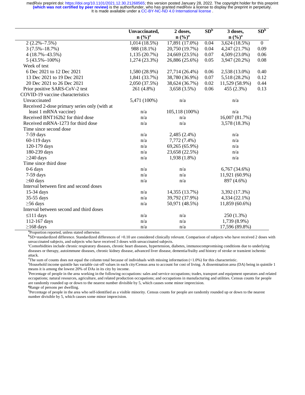|                                                            | Unvaccinated,<br>$n\left(\frac{9}{6}\right)^a$ | 2 doses,<br>n (%) <sup>a</sup> | $SD^{\overline{b}}$ | 3 doses,<br>$n\left(\frac{0}{0}\right)^a$ | SD <sup>b</sup> |
|------------------------------------------------------------|------------------------------------------------|--------------------------------|---------------------|-------------------------------------------|-----------------|
| $2(2.2\% - 7.5\%)$                                         | 1,014(18.5%)                                   | 17,891 (17.0%)                 | 0.04                | $\overline{3,624}$ (18.5%)                | $\mathbf{0}$    |
| $3(7.5\% - 18.7\%)$                                        | 988 (18.1%)                                    | 20,750 (19.7%)                 | 0.04                | 4,247 (21.7%)                             | 0.09            |
| $4(18.7\% - 43.5\%)$                                       | 1,135(20.7%)                                   | 24,669 (23.5%)                 | 0.07                | 4,509 (23.0%)                             | 0.06            |
| $5(43.5\% - 100\%)$                                        | $1,274(23.3\%)$                                | 26,886 (25.6%)                 | 0.05                | 3,947 (20.2%)                             | 0.08            |
| Week of test                                               |                                                |                                |                     |                                           |                 |
| 6 Dec 2021 to 12 Dec 2021                                  | 1,580 (28.9%)                                  | 27,714 (26.4%)                 | 0.06                | 2,538 (13.0%)                             | 0.40            |
| 13 Dec 2021 to 19 Dec 2021                                 | 1,841 (33.7%)                                  | 38,780 (36.9%)                 | 0.07                | 5,518 (28.2%)                             | 0.12            |
| 20 Dec 2021 to 26 Dec 2021                                 | 2,050 (37.5%)                                  | 38,624 (36.7%)                 | 0.02                | 11,529 (58.9%)                            | 0.44            |
| Prior positive SARS-CoV-2 test                             | 261 (4.8%)                                     | $3,658(3.5\%)$                 | 0.06                | 455 (2.3%)                                | 0.13            |
| COVID-19 vaccine characteristics                           |                                                |                                |                     |                                           |                 |
| Unvaccinated                                               | 5,471 (100%)                                   | n/a                            |                     | n/a                                       |                 |
| Received 2-dose primary series only (with at               |                                                |                                |                     |                                           |                 |
| least 1 mRNA vaccine)                                      | n/a                                            | 105,118 (100%)                 |                     | n/a                                       |                 |
| Received BNT162b2 for third dose                           | n/a                                            | n/a                            |                     | 16,007 (81.7%)                            |                 |
| Received mRNA-1273 for third dose                          | n/a                                            | n/a                            |                     | 3,578 (18.3%)                             |                 |
| Time since second dose                                     |                                                |                                |                     |                                           |                 |
| $7-59$ days                                                | n/a                                            | 2,485 (2.4%)                   |                     | n/a                                       |                 |
| 60-119 days                                                | n/a                                            | 7,772 (7.4%)                   |                     | n/a                                       |                 |
| 120-179 days                                               | n/a                                            | 69,265 (65.9%)                 |                     | n/a                                       |                 |
| 180-239 days                                               | n/a                                            | 23,658 (22.5%)                 |                     | n/a                                       |                 |
| $\geq$ 240 days                                            | n/a                                            | 1,938 (1.8%)                   |                     | n/a                                       |                 |
| Time since third dose                                      |                                                |                                |                     |                                           |                 |
| $0-6$ days                                                 | n/a                                            | n/a                            |                     | 6,767 (34.6%)                             |                 |
| $7-59$ days                                                | n/a                                            | n/a                            |                     | 11,921 (60.9%)                            |                 |
| $\geq 60$ days                                             | n/a                                            | n/a                            |                     | 897 (4.6%)                                |                 |
| Interval between first and second doses                    |                                                |                                |                     |                                           |                 |
| 15-34 days                                                 | n/a                                            | 14,355 (13.7%)                 |                     | 3,392 (17.3%)                             |                 |
| 35-55 days                                                 | n/a                                            | 39,792 (37.9%)                 |                     | 4,334 (22.1%)                             |                 |
| $\geq 56$ days                                             | n/a                                            | 50,971 (48.5%)                 |                     | 11,859 (60.6%)                            |                 |
| Interval between second and third doses                    |                                                |                                |                     |                                           |                 |
| $\leq$ 111 days                                            | n/a                                            | n/a                            |                     | 250 (1.3%)                                |                 |
| 112-167 days                                               | n/a                                            | n/a                            |                     | 1,739 (8.9%)                              |                 |
| $\geq$ 168 days                                            | n/a                                            | n/a                            |                     | 17,596 (89.8%)                            |                 |
| <sup>a</sup> Proportion reported, unless stated otherwise. |                                                |                                |                     |                                           |                 |

**b** SD=standardized difference. Standardized differences of >0.10 are considered clinically relevant. Comparison of subjects who have received 2 doses with unvaccinated subjects, and subjects who have received 3 doses with unvaccinated subjects.

c Comorbidities include chronic respiratory diseases, chronic heart diseases, hypertension, diabetes, immunocompromising conditions due to underlying diseases or therapy, autoimmune diseases, chronic kidney disease, advanced liver disease, dementia/frailty and history of stroke or transient ischemic attack.

The sum of counts does not equal the column total because of individuals with missing information  $\langle 1.0\% \rangle$  for this characteristic.

<sup>e</sup>Household income quintile has variable cut-off values in each city/Census area to account for cost of living. A dissemination area (DA) being in quintile 1 means it is among the lowest 20% of DAs in its city by income.

f Percentage of people in the area working in the following occupations: sales and service occupations; trades, transport and equipment operators and related occupations; natural resources, agriculture, and related production occupations; and occupations in manufacturing and utilities. Census counts for people are randomly rounded up or down to the nearest number divisible by 5, which causes some minor imprecision. **g** Range of persons per dwelling.

<sup>h</sup>Percentage of people in the area who self-identified as a visible minority. Census counts for people are randomly rounded up or down to the nearest number divisible by 5, which causes some minor imprecision.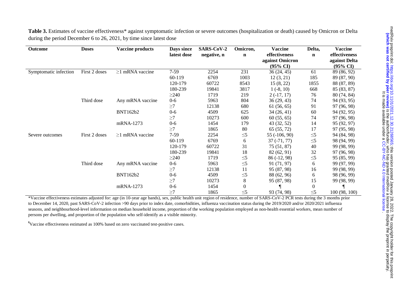Table 3. Estimates of vaccine effectiveness\* against symptomatic infection or severe outcomes (hospitalization or death) caused by Omicron or Delta during the period December 6 to 26, 2021, by time since latest dose

| <b>Outcome</b>        | <b>Doses</b>  | <b>Vaccine products</b> | Days since  | SARS-CoV-2  | Omicron, | <b>Vaccine</b>      | Delta,           | <b>Vaccine</b>      |
|-----------------------|---------------|-------------------------|-------------|-------------|----------|---------------------|------------------|---------------------|
|                       |               |                         | latest dose | negative, n | n        | effectiveness       | n                | effectiveness       |
|                       |               |                         |             |             |          | against Omicron     |                  | against Delta       |
|                       |               |                         |             |             |          | $(95\% \text{ CI})$ |                  | $(95\% \text{ CI})$ |
| Symptomatic infection | First 2 doses | $\geq$ 1 mRNA vaccine   | $7-59$      | 2254        | 231      | 36(24, 45)          | 61               | 89 (86, 92)         |
|                       |               |                         | 60-119      | 6769        | 1003     | 12(3, 21)           | 185              | 89 (87, 90)         |
|                       |               |                         | 120-179     | 60722       | 8543     | 15(8, 22)           | 1855             | 88 (87, 89)         |
|                       |               |                         | 180-239     | 19841       | 3817     | $1(-8, 10)$         | 668              | 85 (83, 87)         |
|                       |               |                         | $\geq$ 240  | 1719        | 219      | $2(-17, 17)$        | 76               | 80 (74, 84)         |
|                       | Third dose    | Any mRNA vaccine        | $0-6$       | 5963        | 804      | 36(29, 43)          | 74               | 94 (93, 95)         |
|                       |               |                         | $\geq$ 7    | 12138       | 680      | 61(56, 65)          | 91               | 97 (96, 98)         |
|                       |               | <b>BNT162b2</b>         | $0-6$       | 4509        | 625      | 34(26, 41)          | 60               | 94 (92, 95)         |
|                       |               |                         | $\geq$ 7    | 10273       | 600      | 60(55, 65)          | 74               | 97 (96, 98)         |
|                       |               | mRNA-1273               | $0-6$       | 1454        | 179      | 43 (32, 52)         | 14               | 95 (92, 97)         |
|                       |               |                         | $\geq 7$    | 1865        | 80       | 65 (55, 72)         | 17               | 97 (95, 98)         |
| Severe outcomes       | First 2 doses | $\geq$ 1 mRNA vaccine   | $7-59$      | 2254        | $\leq 5$ | $55(-106, 90)$      | $\leq 5$         | 94 (84, 98)         |
|                       |               |                         | 60-119      | 6769        | 6        | $37(-71, 77)$       | $\leq 5$         | 98 (94, 99)         |
|                       |               |                         | 120-179     | 60722       | 31       | 75(51, 87)          | 40               | 99 (98, 99)         |
|                       |               |                         | 180-239     | 19841       | 18       | 82 (62, 91)         | 32               | 97 (96, 98)         |
|                       |               |                         | $\geq$ 240  | 1719        | $\leq 5$ | 86 (-12, 98)        | $\leq 5$         | 95 (85, 99)         |
|                       | Third dose    | Any mRNA vaccine        | $0 - 6$     | 5963        | $\leq 5$ | 91 (71, 97)         | 6                | 99 (97, 99)         |
|                       |               |                         | $\geq$ 7    | 12138       | 11       | 95 (87, 98)         | 16               | 99 (98, 99)         |
|                       |               | <b>BNT162b2</b>         | $0-6$       | 4509        | $\leq 5$ | 88 (62, 96)         | 6                | 98 (96, 99)         |
|                       |               |                         | $\geq$ 7    | 10273       | 8        | 95 (87, 98)         | 15               | 99 (98, 99)         |
|                       |               | mRNA-1273               | $0-6$       | 1454        | $\theta$ |                     | $\boldsymbol{0}$ |                     |
|                       |               |                         | $\geq$ 7    | 1865        | $\leq 5$ | 93 (74, 98)         | $\leq 5$         | 100 (98, 100)       |

\*Vaccine effectiveness estimates adjusted for: age (in 10-year age bands), sex, public health unit region of residence, number of SARS-CoV-2 PCR tests during the 3 months prior to December 14, 2020, past SARS-CoV-2 infection >90 days prior to index date, comorbidities, influenza vaccination status during the 2019/2020 and/or 2020/2021 influenza seasons, and neighbourhood-level information on median household income, proportion of the working population employed as non-health essential workers, mean number of persons per dwelling, and proportion of the population who self-identify as a visible minority.

¶Vaccine effectiveness estimated as 100% based on zero vaccinated test-positive cases.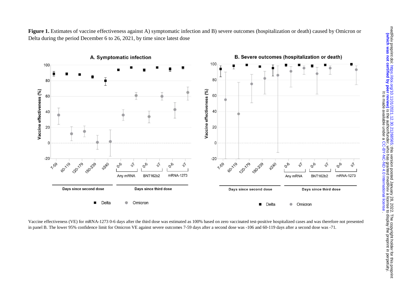

Vaccine effectiveness (VE) for mRNA-1273 0-6 days after the third dose was estimated as 100% based on zero vaccinated test-positive hospitalized cases and was therefore not presented in panel B. The lower 95% confidence limit for Omicron VE against severe outcomes 7-59 days after a second dose was -106 and 60-119 days after a second dose was -71.

Figure 1. Estimates of vaccine effectiveness against A) symptomatic infection and B) severe outcomes (hospitalization or death) caused by Omicron or Delta during the period December 6 to 26, 2021, by time since latest dose